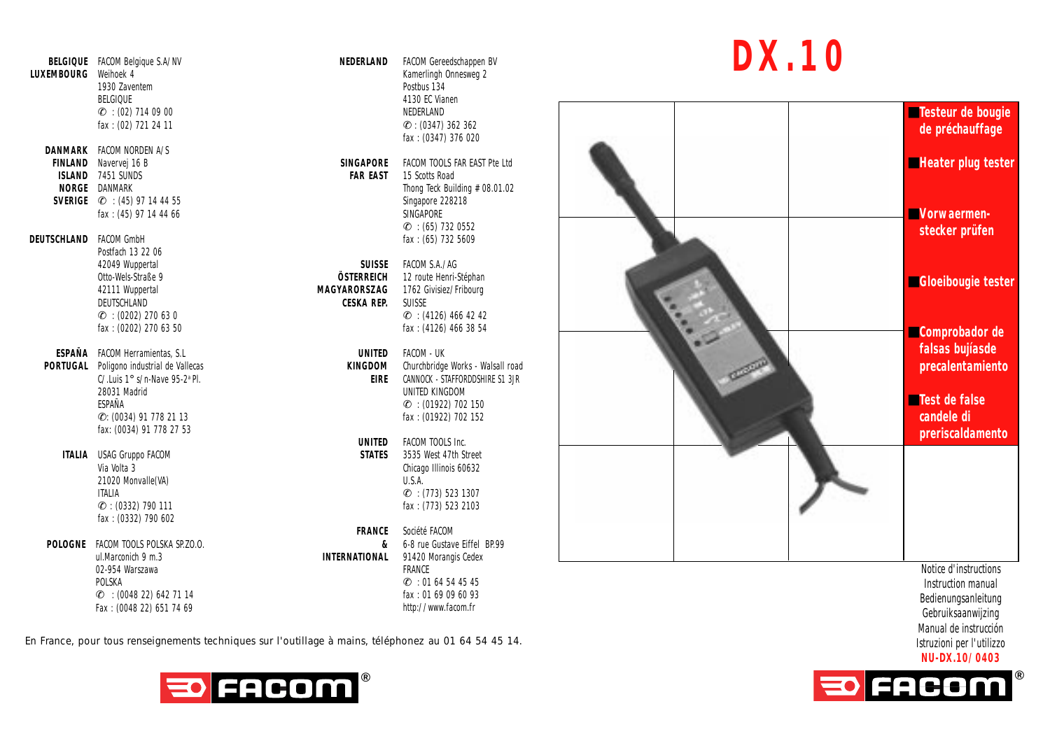**LUXEMBOURG** Weihoek 4  $\mathscr{L}$  : (02) 714 09 00 NEDERLAND fax : (02) 721 24 11 **DANMARK** FACOM NORDEN A/S **FINLAND** Navervej 16 B<br> **SINGAPORE** FACOM TOOLS FAR EAST 15 Scotts Road<br> **SIAND** 7451 SINDS **ISLAND** 7451 SUNDS<br>**NORGE DANMARK SVERIGE**  $\mathcal{L}$  : (45) 97 14 44 55 fax : (45) 97 14 44 66 SINGAPORE **DEUTSCHLAND** FACOM GmbH **facture**  $\frac{1}{2}$  **fax** : (65) 732 5609 Postfach 13 22 06 42049 Wuppertal **SUISSE** FACOM S.A./AG

**DEUTSCHLAND CESKA REP.**<br> $\mathcal{L}$  : (0202) 270 63 0

**ESPAÑA** FACOM Herramientas, S.L **UNITED** FACOM - UK **PORTUGAL** Poligono industrial de Vallecas **KINGDOM KINGDOM** CAU unis 19 s/m. Nave 95.2<sup>a</sup> PI C/.Luis 1° s/n-Nave 95-2<sup>a</sup> Pl<br>28031 Madrid ESPAÑA ✆: (0034) 91 778 21 13 fax : (01922) 702 152 fax: (0034) 91 778 27 53

**ITALIA** USAG Gruppo FACOM 21020 Monvalle(VA) **ITALIA**<br>*C*: (0332) 790 111 fax : (0332) 790 602

**POLOGNE** FACOM TOOLS POLSKA SP.ZO.O. ul.Marconich 9 m.3 02-954 Warszawa POLSKA  $C$  : (0048 22) 642 71 14

Fax : (0048 22) 651 74 69

**BELGIQUE** FACOM Belgique S.A/NV **NEDERLAND** FACOM Gereedschappen BV 1930 Zaventem Postbus 134 BELGIQUE 4130 EC Vianen  $C$  : (0347) 362 362 fax : (0347) 376 020

> **Thong Teck Building # 08.01.02**<br>Singapore 228218  $C$  : (65) 732 0552

Otto-Wels-Straße 9 **ÖSTERREICH** 12 route Henri-Stéphan 42111 Wuppertal **MAGYARORSZAG** 1762 Givisiez/Fribourg  $\mathscr{E}$  : (0202) 270 63 0  $\mathscr{E}$  : (4126) 466 42 42<br>fax : (0202) 270 63 50  $\mathscr{E}$ fax: (4126) 466 38 54

> CANNOCK - STAFFORDDSHIRE S1 3JR UNITED KINGDOM € : (01922) 702 150<br>fax : (01922) 702 152

**UNITED** FACOM TOOLS Inc.<br>STATES 3535 West 47th Street Via Volta 3 Chicago Illinois 60632  $C$  : (773) 523 1307 fax: (773) 523 2103

> **FRANCE** Société FACOM<br>**8** 6-8 rue Gustav **8** 6-8 rue Gustave Eiffel BP.99<br>**INTERNATIONAL** 91420 Morangis Cedex 91420 Morangis Cedex FRANCE  $C = 0164544545$ fax : 01 69 09 60 93 http://www.facom.fr

## **DX.10**



En France, pour tous renseignements techniques sur l'outillage à mains, téléphonez au 01 64 54 45 14.



Bedienungsanleitung Gebruiksaanwijzing Manual de instrucción Istruzioni per l'utilizzo **NU-DX.10/0403**